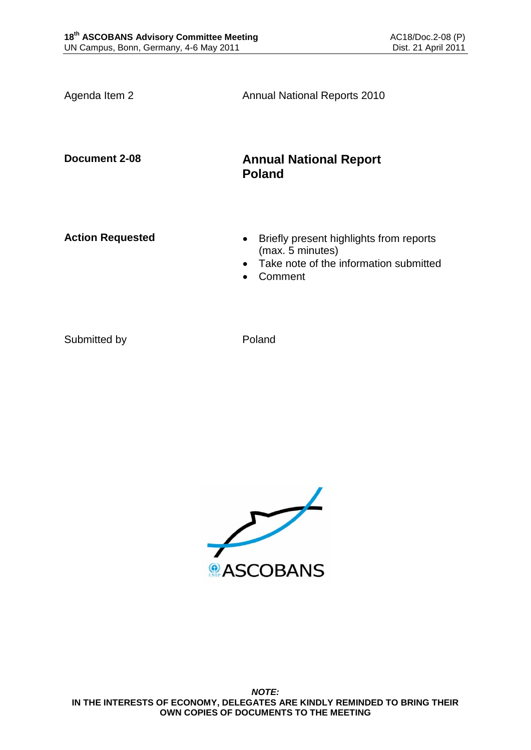Agenda Item 2 **Annual National Reports 2010 Document 2-08 Annual National Report Poland** Action Requested **and Separated Briefly present highlights from reports** (max. 5 minutes) • Take note of the information submitted Comment

Submitted by Poland

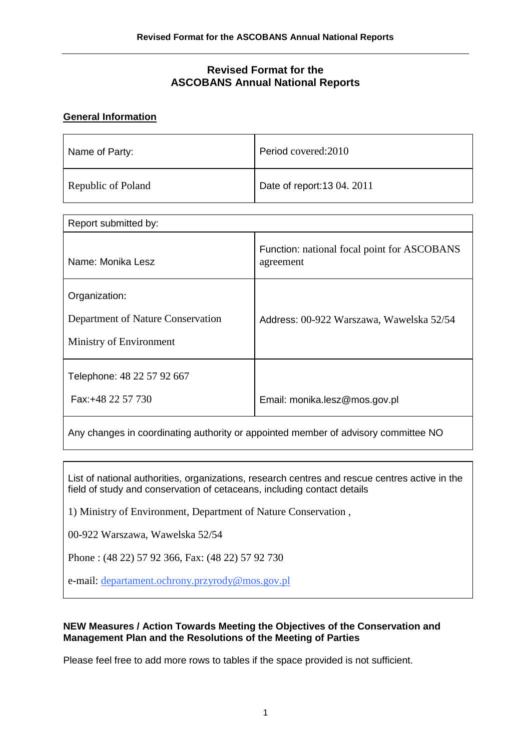## **Revised Format for the ASCOBANS Annual National Reports**

### **General Information**

| Name of Party:     | Period covered: 2010        |
|--------------------|-----------------------------|
| Republic of Poland | Date of report: 13 04. 2011 |

| Report submitted by:                                                          |                                                          |  |  |
|-------------------------------------------------------------------------------|----------------------------------------------------------|--|--|
| Name: Monika Lesz                                                             | Function: national focal point for ASCOBANS<br>agreement |  |  |
| Organization:<br>Department of Nature Conservation<br>Ministry of Environment | Address: 00-922 Warszawa, Wawelska 52/54                 |  |  |
| Telephone: 48 22 57 92 667<br>Fax:+48 22 57 730                               | Email: monika.lesz@mos.gov.pl                            |  |  |

Any changes in coordinating authority or appointed member of advisory committee NO

List of national authorities, organizations, research centres and rescue centres active in the field of study and conservation of cetaceans, including contact details

1) Ministry of Environment, Department of Nature Conservation ,

00-922 Warszawa, Wawelska 52/54

Phone : (48 22) 57 92 366, Fax: (48 22) 57 92 730

e-mail: departamen[t.ochrony.przyrody@mos.gov.pl](mailto:.ochrony.przyrody@mos.gov.pl)

#### **NEW Measures / Action Towards Meeting the Objectives of the Conservation and Management Plan and the Resolutions of the Meeting of Parties**

Please feel free to add more rows to tables if the space provided is not sufficient.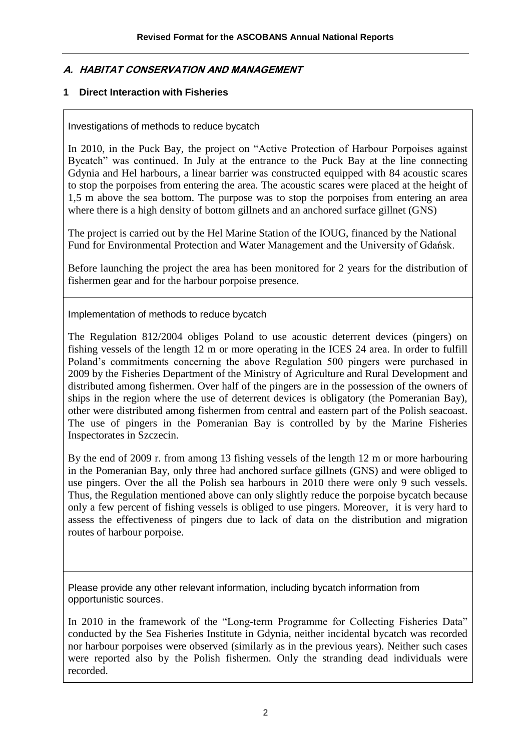## **A. HABITAT CONSERVATION AND MANAGEMENT**

### **1 Direct Interaction with Fisheries**

Investigations of methods to reduce bycatch

In 2010, in the Puck Bay, the project on "Active Protection of Harbour Porpoises against Bycatch" was continued. In July at the entrance to the Puck Bay at the line connecting Gdynia and Hel harbours, a linear barrier was constructed equipped with 84 acoustic scares to stop the porpoises from entering the area. The acoustic scares were placed at the height of 1,5 m above the sea bottom. The purpose was to stop the porpoises from entering an area where there is a high density of bottom gillnets and an anchored surface gillnet (GNS)

The project is carried out by the Hel Marine Station of the IOUG, financed by the National Fund for Environmental Protection and Water Management and the University of Gdańsk.

Before launching the project the area has been monitored for 2 years for the distribution of fishermen gear and for the harbour porpoise presence.

Implementation of methods to reduce bycatch

The Regulation 812/2004 obliges Poland to use acoustic deterrent devices (pingers) on fishing vessels of the length 12 m or more operating in the ICES 24 area. In order to fulfill Poland's commitments concerning the above Regulation 500 pingers were purchased in 2009 by the Fisheries Department of the Ministry of Agriculture and Rural Development and distributed among fishermen. Over half of the pingers are in the possession of the owners of ships in the region where the use of deterrent devices is obligatory (the Pomeranian Bay), other were distributed among fishermen from central and eastern part of the Polish seacoast. The use of pingers in the Pomeranian Bay is controlled by by the Marine Fisheries Inspectorates in Szczecin.

By the end of 2009 r. from among 13 fishing vessels of the length 12 m or more harbouring in the Pomeranian Bay, only three had anchored surface gillnets (GNS) and were obliged to use pingers. Over the all the Polish sea harbours in 2010 there were only 9 such vessels. Thus, the Regulation mentioned above can only slightly reduce the porpoise bycatch because only a few percent of fishing vessels is obliged to use pingers. Moreover, it is very hard to assess the effectiveness of pingers due to lack of data on the distribution and migration routes of harbour porpoise.

Please provide any other relevant information, including bycatch information from opportunistic sources.

In 2010 in the framework of the "Long-term Programme for Collecting Fisheries Data" conducted by the Sea Fisheries Institute in Gdynia, neither incidental bycatch was recorded nor harbour porpoises were observed (similarly as in the previous years). Neither such cases were reported also by the Polish fishermen. Only the stranding dead individuals were recorded.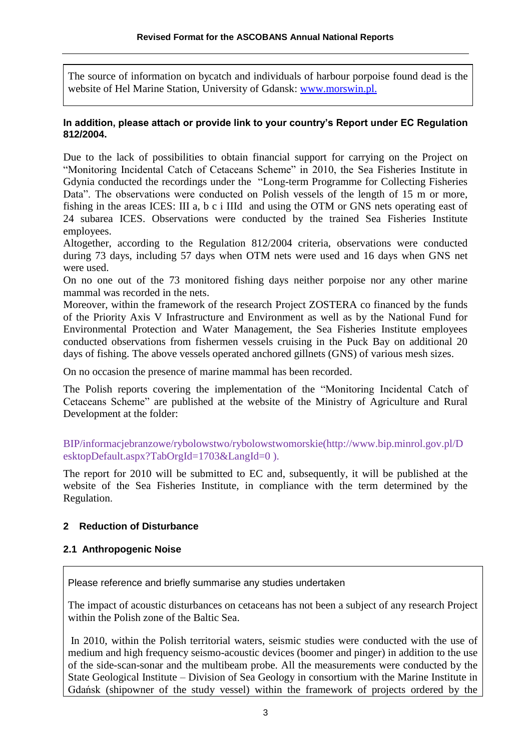The source of information on bycatch and individuals of harbour porpoise found dead is the website of Hel Marine Station, University of Gdansk: www.morswin.pl.

#### **In addition, please attach or provide link to your country's Report under EC Regulation 812/2004.**

Due to the lack of possibilities to obtain financial support for carrying on the Project on "Monitoring Incidental Catch of Cetaceans Scheme" in 2010, the Sea Fisheries Institute in Gdynia conducted the recordings under the "Long-term Programme for Collecting Fisheries Data". The observations were conducted on Polish vessels of the length of 15 m or more, fishing in the areas ICES: III a, b c i IIId and using the OTM or GNS nets operating east of 24 subarea ICES. Observations were conducted by the trained Sea Fisheries Institute employees.

Altogether, according to the Regulation 812/2004 criteria, observations were conducted during 73 days, including 57 days when OTM nets were used and 16 days when GNS net were used.

On no one out of the 73 monitored fishing days neither porpoise nor any other marine mammal was recorded in the nets.

Moreover, within the framework of the research Project ZOSTERA co financed by the funds of the Priority Axis V Infrastructure and Environment as well as by the National Fund for Environmental Protection and Water Management, the Sea Fisheries Institute employees conducted observations from fishermen vessels cruising in the Puck Bay on additional 20 days of fishing. The above vessels operated anchored gillnets (GNS) of various mesh sizes.

On no occasion the presence of marine mammal has been recorded.

The Polish reports covering the implementation of the "Monitoring Incidental Catch of Cetaceans Scheme" are published at the website of the Ministry of Agriculture and Rural Development at the folder:

BIP/informacjebranzowe/rybolowstwo/rybolowstwomorskie(http://www.bip.minrol.gov.pl/D esktopDefault.aspx?TabOrgId=1703&LangId=0 ).

The report for 2010 will be submitted to EC and, subsequently, it will be published at the website of the Sea Fisheries Institute, in compliance with the term determined by the Regulation.

## **2 Reduction of Disturbance**

#### **2.1 Anthropogenic Noise**

Please reference and briefly summarise any studies undertaken

The impact of acoustic disturbances on cetaceans has not been a subject of any research Project within the Polish zone of the Baltic Sea.

In 2010, within the Polish territorial waters, seismic studies were conducted with the use of medium and high frequency seismo-acoustic devices (boomer and pinger) in addition to the use of the side-scan-sonar and the multibeam probe. All the measurements were conducted by the State Geological Institute – Division of Sea Geology in consortium with the Marine Institute in Gdańsk (shipowner of the study vessel) within the framework of projects ordered by the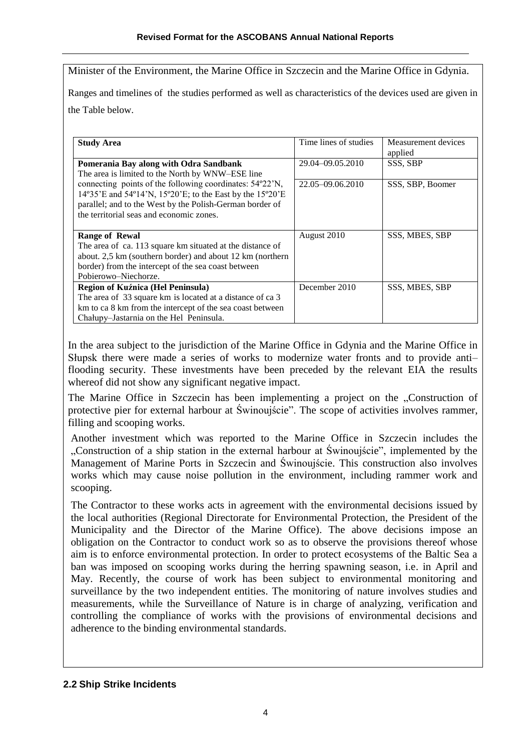Minister of the Environment, the Marine Office in Szczecin and the Marine Office in Gdynia.

Ranges and timelines of the studies performed as well as characteristics of the devices used are given in the Table below.

| <b>Study Area</b>                                                                                                                                                                                                              | Time lines of studies | Measurement devices<br>applied |
|--------------------------------------------------------------------------------------------------------------------------------------------------------------------------------------------------------------------------------|-----------------------|--------------------------------|
| Pomerania Bay along with Odra Sandbank<br>The area is limited to the North by WNW-ESE line                                                                                                                                     | 29.04-09.05.2010      | SSS, SBP                       |
| connecting points of the following coordinates: 54°22'N,<br>14°35'E and 54°14'N, 15°20'E; to the East by the 15°20'E<br>parallel; and to the West by the Polish-German border of<br>the territorial seas and economic zones.   | 22.05-09.06.2010      | SSS, SBP, Boomer               |
| <b>Range of Rewal</b><br>The area of ca. 113 square km situated at the distance of<br>about. 2,5 km (southern border) and about 12 km (northern<br>border) from the intercept of the sea coast between<br>Pobierowo-Niechorze. | August 2010           | SSS, MBES, SBP                 |
| Region of Kuźnica (Hel Peninsula)<br>The area of 33 square km is located at a distance of ca 3<br>km to ca 8 km from the intercept of the sea coast between<br>Chałupy–Jastarnia on the Hel Peninsula.                         | December 2010         | SSS, MBES, SBP                 |

In the area subject to the jurisdiction of the Marine Office in Gdynia and the Marine Office in Słupsk there were made a series of works to modernize water fronts and to provide anti– flooding security. These investments have been preceded by the relevant EIA the results whereof did not show any significant negative impact.

The Marine Office in Szczecin has been implementing a project on the "Construction of protective pier for external harbour at Świnoujście". The scope of activities involves rammer, filling and scooping works.

Another investment which was reported to the Marine Office in Szczecin includes the "Construction of a ship station in the external harbour at Swinoujście", implemented by the Management of Marine Ports in Szczecin and Świnoujście. This construction also involves works which may cause noise pollution in the environment, including rammer work and scooping.

The Contractor to these works acts in agreement with the environmental decisions issued by the local authorities (Regional Directorate for Environmental Protection, the President of the Municipality and the Director of the Marine Office). The above decisions impose an obligation on the Contractor to conduct work so as to observe the provisions thereof whose aim is to enforce environmental protection. In order to protect ecosystems of the Baltic Sea a ban was imposed on scooping works during the herring spawning season, i.e. in April and May. Recently, the course of work has been subject to environmental monitoring and surveillance by the two independent entities. The monitoring of nature involves studies and measurements, while the Surveillance of Nature is in charge of analyzing, verification and controlling the compliance of works with the provisions of environmental decisions and adherence to the binding environmental standards.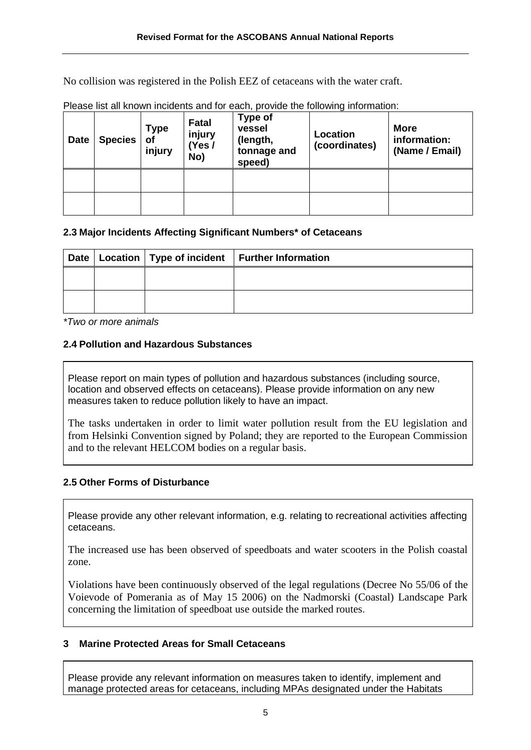No collision was registered in the Polish EEZ of cetaceans with the water craft.

| <b>Date</b> | <b>Species</b> | <b>Type</b><br>οf<br>injury | Fatal<br>injury<br>(Yes /<br>No) | Type of<br>vessel<br>(length,<br>tonnage and<br>speed) | Location<br>(coordinates) | <b>More</b><br>information:<br>(Name / Email) |
|-------------|----------------|-----------------------------|----------------------------------|--------------------------------------------------------|---------------------------|-----------------------------------------------|
|             |                |                             |                                  |                                                        |                           |                                               |
|             |                |                             |                                  |                                                        |                           |                                               |

Please list all known incidents and for each, provide the following information:

## **2.3 Major Incidents Affecting Significant Numbers\* of Cetaceans**

|  | Date   Location   Type of incident   Further Information |
|--|----------------------------------------------------------|
|  |                                                          |
|  |                                                          |

*\*Two or more animals*

## **2.4 Pollution and Hazardous Substances**

Please report on main types of pollution and hazardous substances (including source, location and observed effects on cetaceans). Please provide information on any new measures taken to reduce pollution likely to have an impact.

The tasks undertaken in order to limit water pollution result from the EU legislation and from Helsinki Convention signed by Poland; they are reported to the European Commission and to the relevant HELCOM bodies on a regular basis.

## **2.5 Other Forms of Disturbance**

Please provide any other relevant information, e.g. relating to recreational activities affecting cetaceans.

The increased use has been observed of speedboats and water scooters in the Polish coastal zone.

Violations have been continuously observed of the legal regulations (Decree No 55/06 of the Voievode of Pomerania as of May 15 2006) on the Nadmorski (Coastal) Landscape Park concerning the limitation of speedboat use outside the marked routes.

# **3 Marine Protected Areas for Small Cetaceans**

Please provide any relevant information on measures taken to identify, implement and manage protected areas for cetaceans, including MPAs designated under the Habitats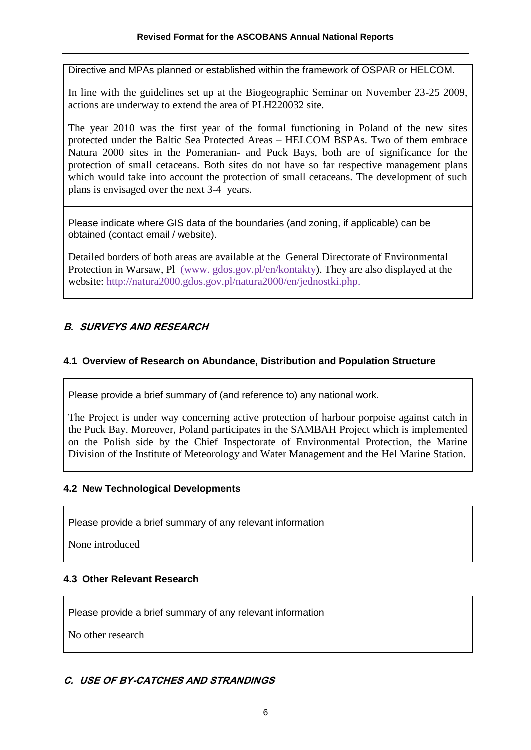Directive and MPAs planned or established within the framework of OSPAR or HELCOM.

In line with the guidelines set up at the Biogeographic Seminar on November 23-25 2009, actions are underway to extend the area of PLH220032 site.

The year 2010 was the first year of the formal functioning in Poland of the new sites protected under the Baltic Sea Protected Areas – HELCOM BSPAs. Two of them embrace Natura 2000 sites in the Pomeranian- and Puck Bays, both are of significance for the protection of small cetaceans. Both sites do not have so far respective management plans which would take into account the protection of small cetaceans. The development of such plans is envisaged over the next 3-4 years.

Please indicate where GIS data of the boundaries (and zoning, if applicable) can be obtained (contact email / website).

Detailed borders of both areas are available at the General Directorate of Environmental Protection in Warsaw, Pl (www. gdos.gov.pl/en/kontakty). They are also displayed at the website: http://natura2000.gdos.gov.pl/natura2000/en/jednostki.php.

# **B. SURVEYS AND RESEARCH**

## **4.1 Overview of Research on Abundance, Distribution and Population Structure**

Please provide a brief summary of (and reference to) any national work.

The Project is under way concerning active protection of harbour porpoise against catch in the Puck Bay. Moreover, Poland participates in the SAMBAH Project which is implemented on the Polish side by the Chief Inspectorate of Environmental Protection, the Marine Division of the Institute of Meteorology and Water Management and the Hel Marine Station.

## **4.2 New Technological Developments**

Please provide a brief summary of any relevant information

None introduced

## **4.3 Other Relevant Research**

Please provide a brief summary of any relevant information

No other research

## **C. USE OF BY-CATCHES AND STRANDINGS**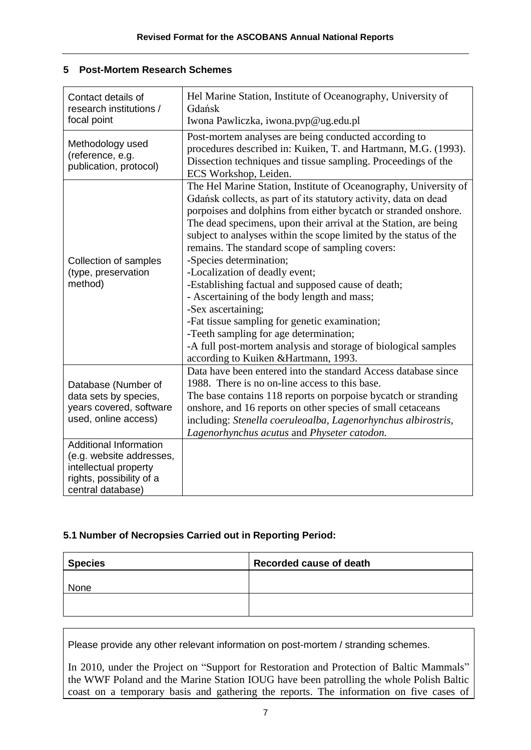## **5 Post-Mortem Research Schemes**

| Contact details of<br>research institutions /<br>focal point                                                                        | Hel Marine Station, Institute of Oceanography, University of<br>Gdańsk<br>Iwona Pawliczka, iwona.pvp@ug.edu.pl                                                                                                                                                                                                                                                                                                                                                                                                                                                                                                                                                                                                                                                                                    |
|-------------------------------------------------------------------------------------------------------------------------------------|---------------------------------------------------------------------------------------------------------------------------------------------------------------------------------------------------------------------------------------------------------------------------------------------------------------------------------------------------------------------------------------------------------------------------------------------------------------------------------------------------------------------------------------------------------------------------------------------------------------------------------------------------------------------------------------------------------------------------------------------------------------------------------------------------|
| Methodology used<br>(reference, e.g.<br>publication, protocol)                                                                      | Post-mortem analyses are being conducted according to<br>procedures described in: Kuiken, T. and Hartmann, M.G. (1993).<br>Dissection techniques and tissue sampling. Proceedings of the<br>ECS Workshop, Leiden.                                                                                                                                                                                                                                                                                                                                                                                                                                                                                                                                                                                 |
| Collection of samples<br>(type, preservation<br>method)                                                                             | The Hel Marine Station, Institute of Oceanography, University of<br>Gdańsk collects, as part of its statutory activity, data on dead<br>porpoises and dolphins from either bycatch or stranded onshore.<br>The dead specimens, upon their arrival at the Station, are being<br>subject to analyses within the scope limited by the status of the<br>remains. The standard scope of sampling covers:<br>-Species determination;<br>-Localization of deadly event;<br>-Establishing factual and supposed cause of death;<br>- Ascertaining of the body length and mass;<br>-Sex ascertaining;<br>-Fat tissue sampling for genetic examination;<br>-Teeth sampling for age determination;<br>-A full post-mortem analysis and storage of biological samples<br>according to Kuiken & Hartmann, 1993. |
| Database (Number of<br>data sets by species,<br>years covered, software<br>used, online access)                                     | Data have been entered into the standard Access database since<br>1988. There is no on-line access to this base.<br>The base contains 118 reports on porpoise by catch or stranding<br>onshore, and 16 reports on other species of small cetaceans<br>including: Stenella coeruleoalba, Lagenorhynchus albirostris,<br>Lagenorhynchus acutus and Physeter catodon.                                                                                                                                                                                                                                                                                                                                                                                                                                |
| <b>Additional Information</b><br>(e.g. website addresses,<br>intellectual property<br>rights, possibility of a<br>central database) |                                                                                                                                                                                                                                                                                                                                                                                                                                                                                                                                                                                                                                                                                                                                                                                                   |

## **5.1 Number of Necropsies Carried out in Reporting Period:**

| <b>Species</b> | Recorded cause of death |
|----------------|-------------------------|
| None           |                         |
|                |                         |

Please provide any other relevant information on post-mortem / stranding schemes.

In 2010, under the Project on "Support for Restoration and Protection of Baltic Mammals" the WWF Poland and the Marine Station IOUG have been patrolling the whole Polish Baltic coast on a temporary basis and gathering the reports. The information on five cases of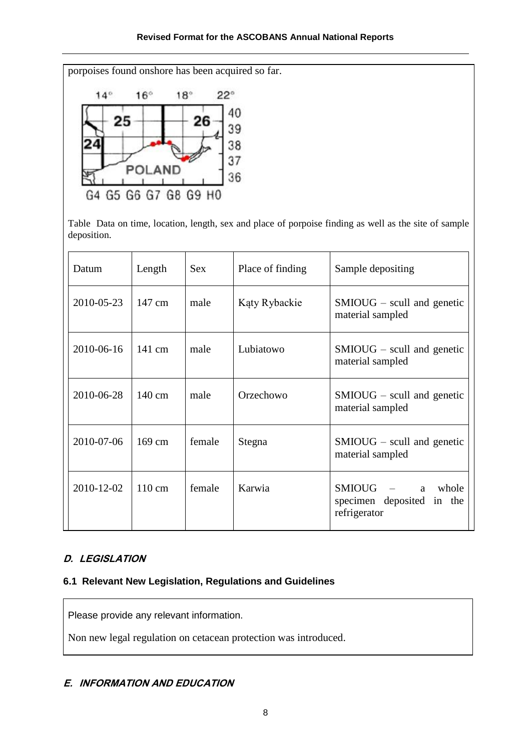porpoises found onshore has been acquired so far.



Table Data on time, location, length, sex and place of porpoise finding as well as the site of sample deposition.

| Datum      | Length           | <b>Sex</b> | Place of finding | Sample depositing                                                        |
|------------|------------------|------------|------------------|--------------------------------------------------------------------------|
| 2010-05-23 | 147 cm           | male       | Kąty Rybackie    | $SMIOUG - \text{scull}$ and genetic<br>material sampled                  |
| 2010-06-16 | $141 \text{ cm}$ | male       | Lubiatowo        | $SMIOUG - \text{scull}$ and genetic<br>material sampled                  |
| 2010-06-28 | 140 cm           | male       | Orzechowo        | $SMIOUG - \text{scull}$ and genetic<br>material sampled                  |
| 2010-07-06 | $169 \text{ cm}$ | female     | Stegna           | $SMIOUG - \text{scull}$ and genetic<br>material sampled                  |
| 2010-12-02 | $110 \text{ cm}$ | female     | Karwia           | <b>SMIOUG</b><br>whole<br>a<br>specimen deposited in the<br>refrigerator |

# **D. LEGISLATION**

## **6.1 Relevant New Legislation, Regulations and Guidelines**

Please provide any relevant information.

Non new legal regulation on cetacean protection was introduced.

## **E. INFORMATION AND EDUCATION**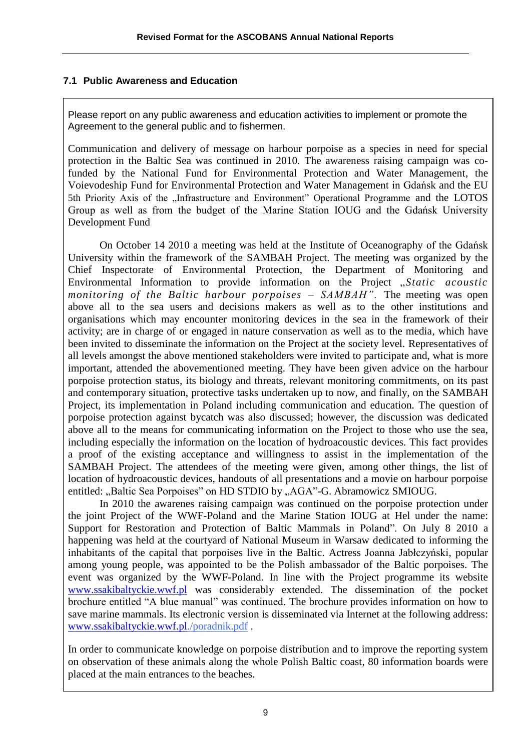### **7.1 Public Awareness and Education**

Please report on any public awareness and education activities to implement or promote the Agreement to the general public and to fishermen.

Communication and delivery of message on harbour porpoise as a species in need for special protection in the Baltic Sea was continued in 2010. The awareness raising campaign was cofunded by the National Fund for Environmental Protection and Water Management, the Voievodeship Fund for Environmental Protection and Water Management in Gdańsk and the EU 5th Priority Axis of the "Infrastructure and Environment" Operational Programme and the LOTOS Group as well as from the budget of the Marine Station IOUG and the Gdańsk University Development Fund

On October 14 2010 a meeting was held at the Institute of Oceanography of the Gdańsk University within the framework of the SAMBAH Project. The meeting was organized by the Chief Inspectorate of Environmental Protection, the Department of Monitoring and Environmental Information to provide information on the Project "*Static acoustic monitoring of the Baltic harbour porpoises – SAMBAH".* The meeting was open above all to the sea users and decisions makers as well as to the other institutions and organisations which may encounter monitoring devices in the sea in the framework of their activity; are in charge of or engaged in nature conservation as well as to the media, which have been invited to disseminate the information on the Project at the society level. Representatives of all levels amongst the above mentioned stakeholders were invited to participate and, what is more important, attended the abovementioned meeting. They have been given advice on the harbour porpoise protection status, its biology and threats, relevant monitoring commitments, on its past and contemporary situation, protective tasks undertaken up to now, and finally, on the SAMBAH Project, its implementation in Poland including communication and education. The question of porpoise protection against bycatch was also discussed; however, the discussion was dedicated above all to the means for communicating information on the Project to those who use the sea, including especially the information on the location of hydroacoustic devices. This fact provides a proof of the existing acceptance and willingness to assist in the implementation of the SAMBAH Project. The attendees of the meeting were given, among other things, the list of location of hydroacoustic devices, handouts of all presentations and a movie on harbour porpoise entitled: "Baltic Sea Porpoises" on HD STDIO by "AGA"-G. Abramowicz SMIOUG.

In 2010 the awarenes raising campaign was continued on the porpoise protection under the joint Project of the WWF-Poland and the Marine Station IOUG at Hel under the name: Support for Restoration and Protection of Baltic Mammals in Poland". On July 8 2010 a happening was held at the courtyard of National Museum in Warsaw dedicated to informing the inhabitants of the capital that porpoises live in the Baltic. Actress Joanna Jabłczyński, popular among young people, was appointed to be the Polish ambassador of the Baltic porpoises. The event was organized by the WWF-Poland. In line with the Project programme its website [www.ssakibaltyckie.wwf.pl](http://www.ssakibaltyckie.wwf.pl/) was considerably extended. The dissemination of the pocket brochure entitled "A blue manual" was continued. The brochure provides information on how to save marine mammals. Its electronic version is disseminated via Internet at the following address: [www.ssakibaltyckie.wwf.pl.](http://www.ssakibaltyckie.wwf.pl/)/poradnik.pdf .

In order to communicate knowledge on porpoise distribution and to improve the reporting system on observation of these animals along the whole Polish Baltic coast, 80 information boards were placed at the main entrances to the beaches.